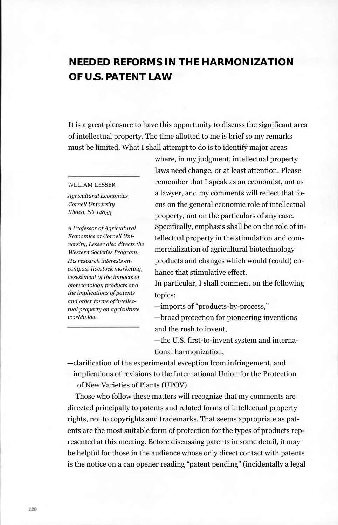# **NEEDED REFORMS IN THE HARMONIZATION OF U.S. PATENT LAW**

It is a great pleasure to have this opportunity to discuss the significant area of intellectual property. The time allotted to me is brief so my remarks must be limited. What I shall attempt to do is to identify major areas

#### WLLIAM LESSER

*Agricultural Economics Cornell University Ithaca, NY 14853*

*A Professor of Agricultural Economics at Cornell University, Lesser also directs the Western Societies Program. His research interests encompass livestock marketing, assessment of the impacts of biotechnology products and the implications of patents and other forms of intellectual property on agriculture worldwide.*

where, in my judgment, intellectual property laws need change, or at least attention. Please remember that I speak as an economist, not as a lawyer, and my comments will reflect that focus on the general economic role of intellectual property, not on the particulars of any case. Specifically, emphasis shall be on the role of intellectual property in the stimulation and commercialization of agricultural biotechnology products and changes which would (could) enhance that stimulative effect.

In particular, I shall comment on the following topics:

—imports of "products-by-process,"

—broad protection for pioneering inventions and the rush to invent,

—the U.S. first-to-invent system and international harmonization,

—clarification of the experimental exception from infringement, and —implications of revisions to the International Union for the Protection

of New Varieties of Plants (UPOV).

Those who follow these matters will recognize that my comments are directed principally to patents and related forms of intellectual property rights, not to copyrights and trademarks. That seems appropriate as patents are the most suitable form of protection for the types of products represented at this meeting. Before discussing patents in some detail, it may be helpful for those in the audience whose only direct contact with patents is the notice on a can opener reading "patent pending" (incidentally a legal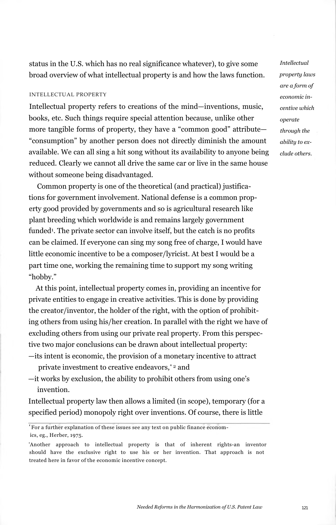status in the U.S. which has no real significance whatever), to give some broad overview of what intellectual property is and how the laws function.

#### INTELLECTUAL PROPERTY

Intellectual property refers to creations of the mind—inventions, music, books, etc. Such things require special attention because, unlike other more tangible forms of property, they have a "common good" attribute— "consumption" by another person does not directly diminish the amount available. We can all sing a hit song without its availability to anyone being reduced. Clearly we cannot all drive the same car or live in the same house without someone being disadvantaged.

Common property is one of the theoretical (and practical) justifications for government involvement. National defense is a common property good provided by governments and so is agricultural research like plant breeding which worldwide is and remains largely government funded<sup>1</sup>. The private sector can involve itself, but the catch is no profits can be claimed. If everyone can sing my song free of charge, I would have little economic incentive to be a composer/lyricist. At best I would be a part time one, working the remaining time to support my song writing "hobby."

At this point, intellectual property comes in, providing an incentive for private entities to engage in creative activities. This is done by providing the creator/inventor, the holder of the right, with the option of prohibiting others from using his/her creation. In parallel with the right we have of excluding others from using our private real property. From this perspective two major conclusions can be drawn about intellectual property: —its intent is economic, the provision of a monetary incentive to attract

private investment to creative endeavors,<sup>\*</sup><sup>2</sup> and

—it works by exclusion, the ability to prohibit others from using one's invention.

Intellectual property law then allows a limited (in scope), temporary (for a specified period) monopoly right over inventions. Of course, there is little

*'* For a further explanation of these issues see any text on public finance economics, eg., Herber, 1975.

*Intellectual property laws are a form of economic incentive which operate through the ability to exclude others.*

<sup>&#</sup>x27;Another approach to intellectual property is that of inherent rights-an inventor should have the exclusive right to use his or her invention. That approach is not treated here in favor of the economic incentive concept.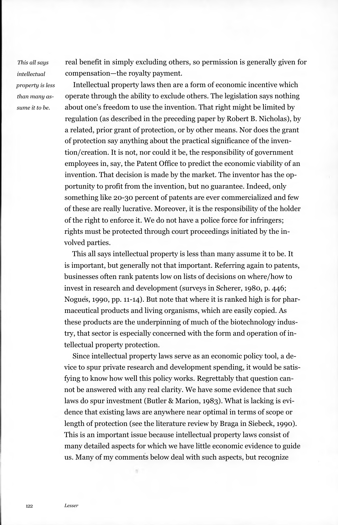*This all says intellectual property is less than many assume it to be.*

real benefit in simply excluding others, so permission is generally given for compensation—the royalty payment.

Intellectual property laws then are a form of economic incentive which operate through the ability to exclude others. The legislation says nothing about one's freedom to use the invention. That right might be limited by regulation (as described in the preceding paper by Robert B. Nicholas), by a related, prior grant of protection, or by other means. Nor does the grant of protection say anything about the practical significance of the invention/creation. It is not, nor could it be, the responsibility of government employees in, say, the Patent Office to predict the economic viability of an invention. That decision is made by the market. The inventor has the opportunity to profit from the invention, but no guarantee. Indeed, only something like 20-30 percent of patents are ever commercialized and few of these are really lucrative. Moreover, it is the responsibility of the holder of the right to enforce it. We do not have a police force for infringers; rights must be protected through court proceedings initiated by the involved parties.

This all says intellectual property is less than many assume it to be. It is important, but generally not that important. Referring again to patents, businesses often rank patents low on lists of decisions on where/how to invest in research and development (surveys in Scherer, 1980, p. 446; Nogues, 1990, pp. 11-14). But note that where it is ranked high is for pharmaceutical products and living organisms, which are easily copied. As these products are the underpinning of much of the biotechnology industry, that sector is especially concerned with the form and operation of intellectual property protection.

Since intellectual property laws serve as an economic policy tool, a device to spur private research and development spending, it would be satisfying to know how well this policy works. Regrettably that question cannot be answered with any real clarity. We have some evidence that such laws do spur investment (Butler & Marion, 1983). What is lacking is evidence that existing laws are anywhere near optimal in terms of scope or length of protection (see the literature review by Braga in Siebeck, 1990). This is an important issue because intellectual property laws consist of many detailed aspects for which we have little economic evidence to guide us. Many of my comments below deal with such aspects, but recognize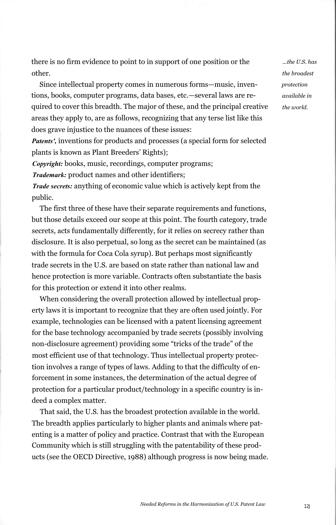there is no firm evidence to point to in support of one position or the other.

Since intellectual property comes in numerous forms—music, inventions, books, computer programs, data bases, etc.—several laws are required to cover this breadth. The major of these, and the principal creative areas they apply to, are as follows, recognizing that any terse list like this does grave injustice to the nuances of these issues:

*Patents',* inventions for products and processes (a special form for selected plants is known as Plant Breeders' Rights);

*Copyright:* books, music, recordings, computer programs;

*Trademark:* product names and other identifiers;

*Trade secrets:* anything of economic value which is actively kept from the public.

The first three of these have their separate requirements and functions, but those details exceed our scope at this point. The fourth category, trade secrets, acts fundamentally differently, for it relies on secrecy rather than disclosure. It is also perpetual, so long as the secret can be maintained (as with the formula for Coca Cola syrup). But perhaps most significantly trade secrets in the U.S. are based on state rather than national law and hence protection is more variable. Contracts often substantiate the basis for this protection or extend it into other realms.

When considering the overall protection allowed by intellectual property laws it is important to recognize that they are often used jointly. For example, technologies can be licensed with a patent licensing agreement for the base technology accompanied by trade secrets (possibly involving non-disclosure agreement) providing some "tricks of the trade" of the most efficient use of that technology. Thus intellectual property protection involves a range of types of laws. Adding to that the difficulty of enforcement in some instances, the determination of the actual degree of protection for a particular product/technology in a specific country is indeed a complex matter.

That said, the U.S. has the broadest protection available in the world. The breadth applies particularly to higher plants and animals where patenting is a matter of policy and practice. Contrast that with the European Community which is still struggling with the patentability of these products (see the OECD Directive, 1988) although progress is now being made.

*...the U.S. has the broadest protection available in the world.*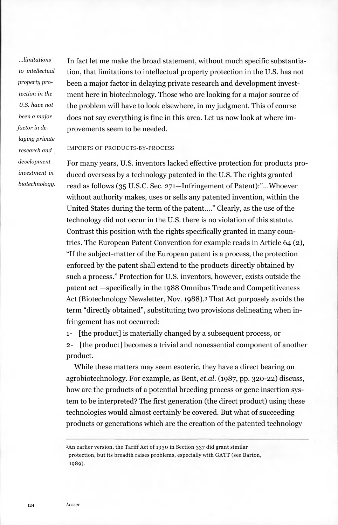*...limitations to intellectual property protection in the U.S. have not been a major factor in delaying private research and development investment in biotechnology.*

In fact let me make the broad statement, without much specific substantiation, that limitations to intellectual property protection in the U.S. has not been a major factor in delaying private research and development investment here in biotechnology. Those who are looking for a major source of the problem will have to look elsewhere, in my judgment. This of course does not say everything is fine in this area. Let us now look at where improvements seem to be needed.

## IMPORTS OF PRODUCTS-BY-PROCESS

For many years, U.S. inventors lacked effective protection for products produced overseas by a technology patented in the U.S. The rights granted read as follows (35 U.S.C. Sec. 271—Infringement of Patent):"...Whoever without authority makes, uses or sells any patented invention, within the United States during the term of the patent...." Clearly, as the use of the technology did not occur in the U.S. there is no violation of this statute. Contrast this position with the rights specifically granted in many countries. The European Patent Convention for example reads in Article 64 (2), "If the subject-matter of the European patent is a process, the protection enforced by the patent shall extend to the products directly obtained by such a process." Protection for U.S. inventors, however, exists outside the patent act —specifically in the 1988 Omnibus Trade and Competitiveness Act (Biotechnology Newsletter, Nov. 1988).<sup>3</sup> That Act purposely avoids the term "directly obtained", substituting two provisions delineating when infringement has not occurred:

1- [the product] is materially changed by a subsequent process, or 2- [the product] becomes a trivial and nonessential component of another product.

While these matters may seem esoteric, they have a direct bearing on agrobiotechnology. For example, as Bent, *et.al.* (1987, pp. 320-22) discuss, how are the products of a potential breeding process or gene insertion system to be interpreted? The first generation (the direct product) using these technologies would almost certainly be covered. But what of succeeding products or generations which are the creation of the patented technology

<sup>3</sup>An earlier version, the Tariff Act of 1930 in Section 337 did grant similar protection, but its breadth raises problems, especially with GATT (see Barton, 1989).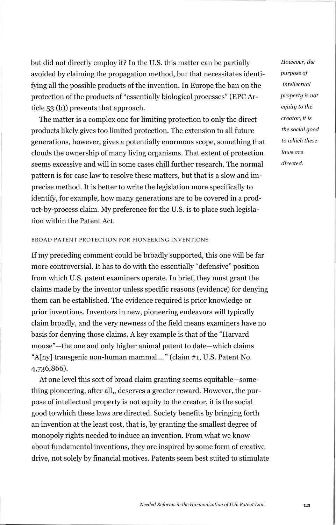but did not directly employ it? In the U.S. this matter can be partially avoided by claiming the propagation method, but that necessitates identifying all the possible products of the invention. In Europe the ban on the protection of the products of "essentially biological processes" (EPC Article 53 (b)) prevents that approach.

The matter is a complex one for limiting protection to only the direct products likely gives too limited protection. The extension to all future generations, however, gives a potentially enormous scope, something that clouds the ownership of many living organisms. That extent of protection seems excessive and will in some cases chill further research. The normal pattern is for case law to resolve these matters, but that is a slow and imprecise method. It is better to write the legislation more specifically to identify, for example, how many generations are to be covered in a product-by-process claim. My preference for the U.S. is to place such legislation within the Patent Act.

## BROAD PATENT PROTECTION FOR PIONEERING INVENTIONS

If my preceding comment could be broadly supported, this one will be far more controversial. It has to do with the essentially "defensive" position from which U.S. patent examiners operate. In brief, they must grant the claims made by the inventor unless specific reasons (evidence) for denying them can be established. The evidence required is prior knowledge or prior inventions. Inventors in new, pioneering endeavors will typically claim broadly, and the very newness of the field means examiners have no basis for denying those claims. A key example is that of the "Harvard mouse"—the one and only higher animal patent to date—which claims "A[ny] transgenic non-human mammal...." (claim #1, U.S. Patent No. 4,736,866).

At one level this sort of broad claim granting seems equitable—something pioneering, after all,, deserves a greater reward. However, the purpose of intellectual property is not equity to the creator, it is the social good to which these laws are directed. Society benefits by bringing forth an invention at the least cost, that is, by granting the smallest degree of monopoly rights needed to induce an invention. From what we know about fundamental inventions, they are inspired by some form of creative drive, not solely by financial motives. Patents seem best suited to stimulate *However, the purpose of intellectual property is not equity to the creator, it is the social good to which these laws are directed.*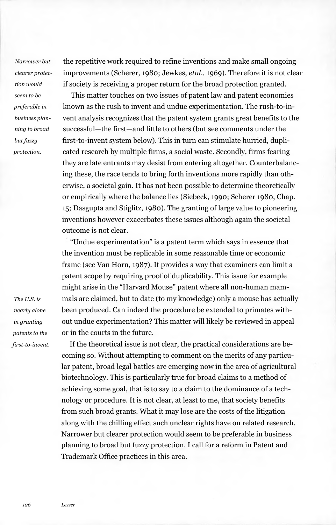*Narrower but clearer protection would seem to be preferable in business planning to broad but fuzzy protection.*

the repetitive work required to refine inventions and make small ongoing improvements (Scherer, 1980; Jewkes, *etal.,* 1969). Therefore it is not clear if society is receiving a proper return for the broad protection granted.

This matter touches on two issues of patent law and patent economies known as the rush to invent and undue experimentation. The rush-to-invent analysis recognizes that the patent system grants great benefits to the successful—the first—and little to others (but see comments under the first-to-invent system below). This in turn can stimulate hurried, duplicated research by multiple firms, a social waste. Secondly, firms fearing they are late entrants may desist from entering altogether. Counterbalancing these, the race tends to bring forth inventions more rapidly than otherwise, a societal gain. It has not been possible to determine theoretically or empirically where the balance lies (Siebeck, 1990; Scherer 1980, Chap. 15; Dasgupta and Stiglitz, 1980). The granting of large value to pioneering inventions however exacerbates these issues although again the societal outcome is not clear.

"Undue experimentation" is a patent term which says in essence that the invention must be replicable in some reasonable time or economic frame (see Van Horn, 1987). It provides a way that examiners can limit a patent scope by requiring proof of duplicability. This issue for example might arise in the "Harvard Mouse" patent where all non-human mammals are claimed, but to date (to my knowledge) only a mouse has actually been produced. Can indeed the procedure be extended to primates without undue experimentation? This matter will likely be reviewed in appeal or in the courts in the future.

If the theoretical issue is not clear, the practical considerations are becoming so. Without attempting to comment on the merits of any particular patent, broad legal battles are emerging now in the area of agricultural biotechnology. This is particularly true for broad claims to a method of achieving some goal, that is to say to a claim to the dominance of a technology or procedure. It is not clear, at least to me, that society benefits from such broad grants. What it may lose are the costs of the litigation along with the chilling effect such unclear rights have on related research. Narrower but clearer protection would seem to be preferable in business planning to broad but fuzzy protection. I call for a reform in Patent and Trademark Office practices in this area.

*The U.S. is nearly alone in granting patents to the first-to-invent.*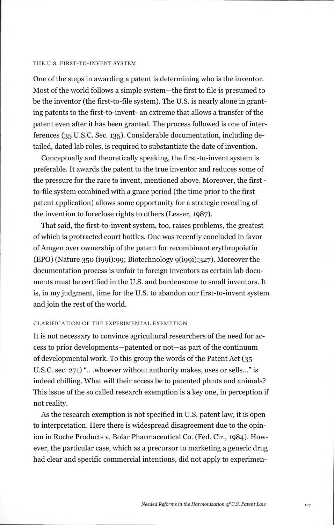#### THE U.S. FIRST-TO-INVENT SYSTEM

One of the steps in awarding a patent is determining who is the inventor. Most of the world follows a simple system—the first to file is presumed to be the inventor (the first-to-file system). The U.S. is nearly alone in granting patents to the first-to-invent- an extreme that allows a transfer of the patent even after it has been granted. The process followed is one of interferences (35 U.S.C. Sec. 135). Considerable documentation, including detailed, dated lab roles, is required to substantiate the date of invention.

Conceptually and theoretically speaking, the first-to-invent system is preferable. It awards the patent to the true inventor and reduces some of the pressure for the race to invent, mentioned above. Moreover, the first to-file system combined with a grace period (the time prior to the first patent application) allows some opportunity for a strategic revealing of the invention to foreclose rights to others (Lesser, 1987).

That said, the first-to-invent system, too, raises problems, the greatest of which is protracted court battles. One was recently concluded in favor of Amgen over ownership of the patent for recombinant erythropoietin (EPO) (Nature 350 (i99i):99; Biotechnology 9(i99i):327). Moreover the documentation process is unfair to foreign inventors as certain lab documents must be certified in the U.S. and burdensome to small inventors. It is, in my judgment, time for the U.S. to abandon our first-to-invent system and join the rest of the world.

# CLARIFICATION OF THE EXPERIMENTAL EXEMPTION

It is not necessary to convince agricultural researchers of the need for access to prior developments—patented or not—as part of the continuum of developmental work. To this group the words of the Patent Act (35 U.S.C. sec. 271) ".. .whoever without authority makes, uses or sells..." is indeed chilling. What will their access be to patented plants and animals? This issue of the so called research exemption is a key one, in perception if not reality.

As the research exemption is not specified in U.S. patent law, it is open to interpretation. Here there is widespread disagreement due to the opinion in Roche Products v. Bolar Pharmaceutical Co. (Fed. Cir., 1984). However, the particular case, which as a precursor to marketing a generic drug had clear and specific commercial intentions, did not apply to experimen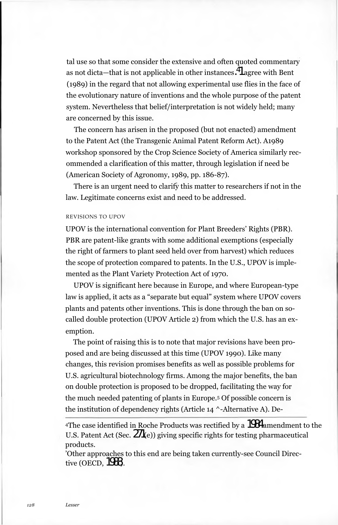tal use so that some consider the extensive and often quoted commentary as not dicta—that is not applicable in other instances. $^\pmb{4}{}{\hspace{-.03in}1\hspace{-.1em}1}$  agree with Bent (1989) in the regard that not allowing experimental use flies in the face of the evolutionary nature of inventions and the whole purpose of the patent system. Nevertheless that belief/interpretation is not widely held; many are concerned by this issue.

The concern has arisen in the proposed (but not enacted) amendment to the Patent Act (the Transgenic Animal Patent Reform Act). A1989 workshop sponsored by the Crop Science Society of America similarly recommended a clarification of this matter, through legislation if need be (American Society of Agronomy, 1989, pp. 186-87).

There is an urgent need to clarify this matter to researchers if not in the law. Legitimate concerns exist and need to be addressed.

# REVISIONS TO UPOV

UPOV is the international convention for Plant Breeders' Rights (PBR). PBR are patent-like grants with some additional exemptions (especially the right of farmers to plant seed held over from harvest) which reduces the scope of protection compared to patents. In the U.S., UPOV is implemented as the Plant Variety Protection Act of 1970.

UPOV is significant here because in Europe, and where European-type law is applied, it acts as a "separate but equal" system where UPOV covers plants and patents other inventions. This is done through the ban on socalled double protection (UPOV Article 2) from which the U.S. has an exemption.

The point of raising this is to note that major revisions have been proposed and are being discussed at this time (UPOV 1990). Like many changes, this revision promises benefits as well as possible problems for U.S. agricultural biotechnology firms. Among the major benefits, the ban on double protection is proposed to be dropped, facilitating the way for the much needed patenting of plants in Europe.<sup>5</sup> Of possible concern is the institution of dependency rights (Article 14 ^-Alternative A). De-

<sup>4</sup>The case identified in Roche Products was rectified by a  $1984$  amendment to the U.S. Patent Act (Sec.  $2\pi$ (e)) giving specific rights for testing pharmaceutical products.

'Other approaches to this end are being taken currently-see Council Directive (OECD, 1988).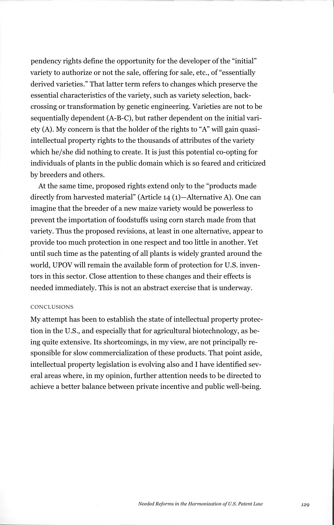pendency rights define the opportunity for the developer of the "initial" variety to authorize or not the sale, offering for sale, etc., of "essentially derived varieties." That latter term refers to changes which preserve the essential characteristics of the variety, such as variety selection, backcrossing or transformation by genetic engineering. Varieties are not to be sequentially dependent (A-B-C), but rather dependent on the initial variety (A). My concern is that the holder of the rights to "A" will gain quasiintellectual property rights to the thousands of attributes of the variety which he/she did nothing to create. It is just this potential co-opting for individuals of plants in the public domain which is so feared and criticized by breeders and others.

At the same time, proposed rights extend only to the "products made directly from harvested material" (Article 14 (1)—Alternative A). One can imagine that the breeder of a new maize variety would be powerless to prevent the importation of foodstuffs using corn starch made from that variety. Thus the proposed revisions, at least in one alternative, appear to provide too much protection in one respect and too little in another. Yet until such time as the patenting of all plants is widely granted around the world, UPOV will remain the available form of protection for U.S. inventors in this sector. Close attention to these changes and their effects is needed immediately. This is not an abstract exercise that is underway.

## CONCLUSIONS

My attempt has been to establish the state of intellectual property protection in the U.S., and especially that for agricultural biotechnology, as being quite extensive. Its shortcomings, in my view, are not principally responsible for slow commercialization of these products. That point aside, intellectual property legislation is evolving also and I have identified several areas where, in my opinion, further attention needs to be directed to achieve a better balance between private incentive and public well-being.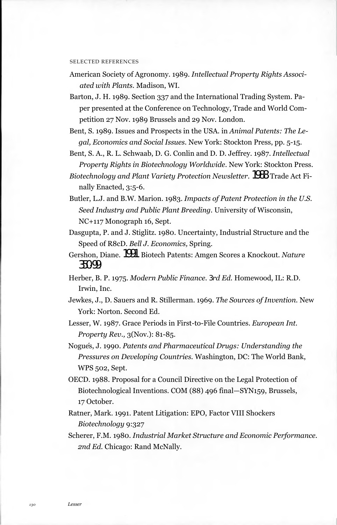#### SELECTED REFERENCES

American Society of Agronomy. 1989. *Intellectual Property Rights Associated with Plants.* Madison, WI.

- Barton, J. H. 1989. Section 337 and the International Trading System. Paper presented at the Conference on Technology, Trade and World Competition 27 Nov. 1989 Brussels and 29 Nov. London.
- Bent, S. 1989. Issues and Prospects in the USA. in *Animal Patents: The Legal, Economics and Social Issues.* New York: Stockton Press, pp. 5-15.
- Bent, S. A., R. L. Schwaab, D. G. Conlin and D. D. Jeffrey. 1987. *Intellectual Property Rights in Biotechnology Worldwide.* New York: Stockton Press.
- *Biotechnology and Plant Variety Protection Newsletter.*1988. Trade Act Finally Enacted, 3:5-6.
- Butler, L.J. and B.W. Marion. 1983. *Impacts of Patent Protection in the U.S. Seed Industry and Public Plant Breeding.* University of Wisconsin, NC+117 Monograph 16, Sept.
- Dasgupta, P. and J. Stiglitz. 1980. Uncertainty, Industrial Structure and the Speed of R8cD. *Bell J. Economics,* Spring.
- Gershon, Diane. 1991. Biotech Patents: Amgen Scores a Knockout. *Nature* 350:99.
- Herber, B. P. 1975. *Modern Public Finance. 3rd Ed.* Homewood, IL: R.D. Irwin, Inc.
- Jewkes, J., D. Sauers and R. Stillerman. 1969. *The Sources of Invention.* New York: Norton. Second Ed.
- Lesser, W. 1987. Grace Periods in First-to-File Countries. *European Int. Property Rev.,* 3(Nov.): 81-85.
- Nogues, J. 1990. *Patents and Pharmaceutical Drugs: Understanding the Pressures on Developing Countries.* Washington, DC: The World Bank, WPS 502, Sept.
- OECD. 1988. Proposal for a Council Directive on the Legal Protection of Biotechnological Inventions. COM (88) 496 final—SYN159, Brussels, 17 October.
- Ratner, Mark. 1991. Patent Litigation: EPO, Factor VIII Shockers *Biotechnology* 9:327
- Scherer, F.M. 1980. *Industrial Market Structure and Economic Performance. 2nd Ed.* Chicago: Rand McNally.